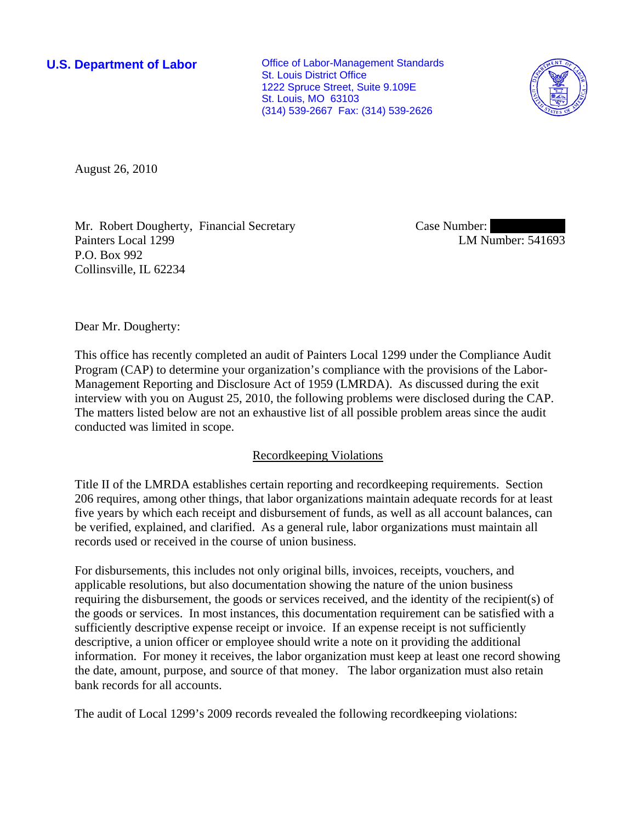**U.S. Department of Labor Conservative Conservative Conservative Conservative Conservative Conservative Conservative Conservative Conservative Conservative Conservative Conservative Conservative Conservative Conservative** St. Louis District Office 1222 Spruce Street, Suite 9.109E St. Louis, MO 63103 (314) 539-2667 Fax: (314) 539-2626



August 26, 2010

Mr. Robert Dougherty, Financial Secretary Painters Local 1299 P.O. Box 992 Collinsville, IL 62234

Case Number: LM Number: 541693

Dear Mr. Dougherty:

This office has recently completed an audit of Painters Local 1299 under the Compliance Audit Program (CAP) to determine your organization's compliance with the provisions of the Labor-Management Reporting and Disclosure Act of 1959 (LMRDA). As discussed during the exit interview with you on August 25, 2010, the following problems were disclosed during the CAP. The matters listed below are not an exhaustive list of all possible problem areas since the audit conducted was limited in scope.

## Recordkeeping Violations

Title II of the LMRDA establishes certain reporting and recordkeeping requirements. Section 206 requires, among other things, that labor organizations maintain adequate records for at least five years by which each receipt and disbursement of funds, as well as all account balances, can be verified, explained, and clarified. As a general rule, labor organizations must maintain all records used or received in the course of union business.

For disbursements, this includes not only original bills, invoices, receipts, vouchers, and applicable resolutions, but also documentation showing the nature of the union business requiring the disbursement, the goods or services received, and the identity of the recipient(s) of the goods or services. In most instances, this documentation requirement can be satisfied with a sufficiently descriptive expense receipt or invoice. If an expense receipt is not sufficiently descriptive, a union officer or employee should write a note on it providing the additional information. For money it receives, the labor organization must keep at least one record showing the date, amount, purpose, and source of that money. The labor organization must also retain bank records for all accounts.

The audit of Local 1299's 2009 records revealed the following recordkeeping violations: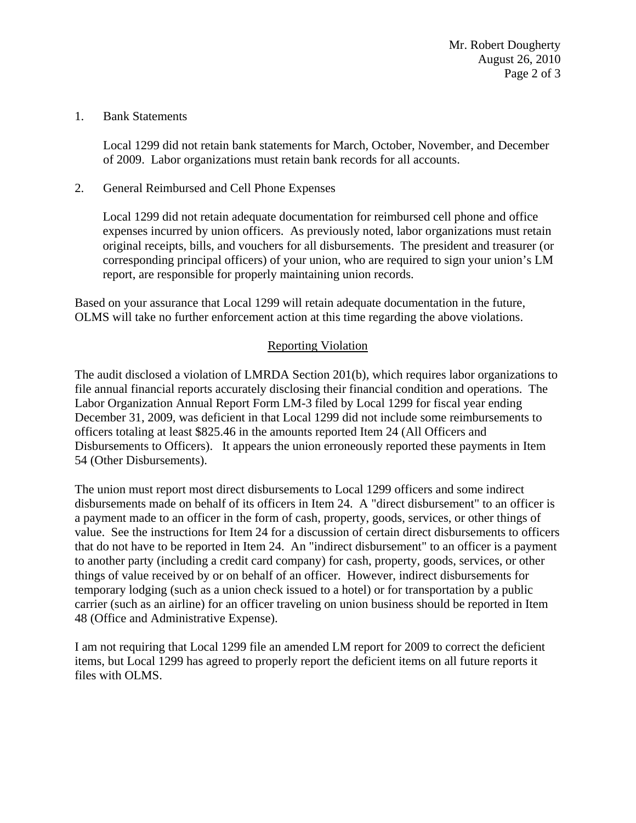Mr. Robert Dougherty August 26, 2010 Page 2 of 3

### 1. Bank Statements

Local 1299 did not retain bank statements for March, October, November, and December of 2009. Labor organizations must retain bank records for all accounts.

# 2. General Reimbursed and Cell Phone Expenses

Local 1299 did not retain adequate documentation for reimbursed cell phone and office expenses incurred by union officers. As previously noted, labor organizations must retain original receipts, bills, and vouchers for all disbursements. The president and treasurer (or corresponding principal officers) of your union, who are required to sign your union's LM report, are responsible for properly maintaining union records.

Based on your assurance that Local 1299 will retain adequate documentation in the future, OLMS will take no further enforcement action at this time regarding the above violations.

# Reporting Violation

The audit disclosed a violation of LMRDA Section 201(b), which requires labor organizations to file annual financial reports accurately disclosing their financial condition and operations. The Labor Organization Annual Report Form LM-3 filed by Local 1299 for fiscal year ending December 31, 2009, was deficient in that Local 1299 did not include some reimbursements to officers totaling at least \$825.46 in the amounts reported Item 24 (All Officers and Disbursements to Officers). It appears the union erroneously reported these payments in Item 54 (Other Disbursements).

The union must report most direct disbursements to Local 1299 officers and some indirect disbursements made on behalf of its officers in Item 24. A "direct disbursement" to an officer is a payment made to an officer in the form of cash, property, goods, services, or other things of value. See the instructions for Item 24 for a discussion of certain direct disbursements to officers that do not have to be reported in Item 24. An "indirect disbursement" to an officer is a payment to another party (including a credit card company) for cash, property, goods, services, or other things of value received by or on behalf of an officer. However, indirect disbursements for temporary lodging (such as a union check issued to a hotel) or for transportation by a public carrier (such as an airline) for an officer traveling on union business should be reported in Item 48 (Office and Administrative Expense).

I am not requiring that Local 1299 file an amended LM report for 2009 to correct the deficient items, but Local 1299 has agreed to properly report the deficient items on all future reports it files with OLMS.